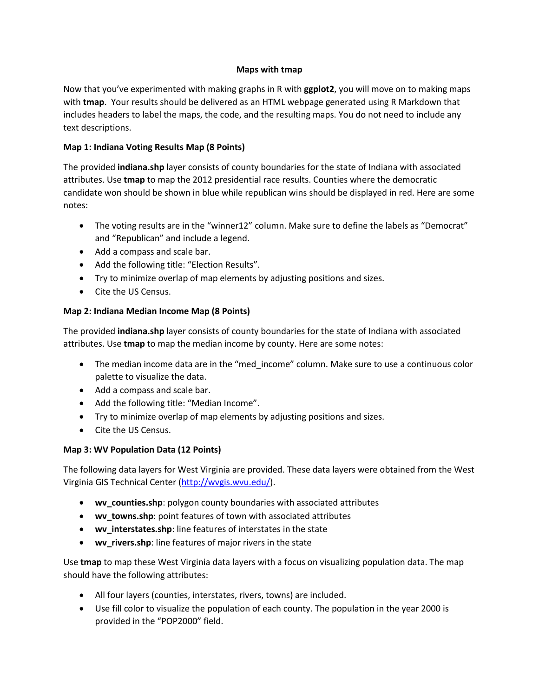### **Maps with tmap**

Now that you've experimented with making graphs in R with **ggplot2**, you will move on to making maps with **tmap**. Your results should be delivered as an HTML webpage generated using R Markdown that includes headers to label the maps, the code, and the resulting maps. You do not need to include any text descriptions.

### **Map 1: Indiana Voting Results Map (8 Points)**

The provided **indiana.shp** layer consists of county boundaries for the state of Indiana with associated attributes. Use **tmap** to map the 2012 presidential race results. Counties where the democratic candidate won should be shown in blue while republican wins should be displayed in red. Here are some notes:

- The voting results are in the "winner12" column. Make sure to define the labels as "Democrat" and "Republican" and include a legend.
- Add a compass and scale bar.
- Add the following title: "Election Results".
- Try to minimize overlap of map elements by adjusting positions and sizes.
- Cite the US Census.

# **Map 2: Indiana Median Income Map (8 Points)**

The provided **indiana.shp** layer consists of county boundaries for the state of Indiana with associated attributes. Use **tmap** to map the median income by county. Here are some notes:

- The median income data are in the "med income" column. Make sure to use a continuous color palette to visualize the data.
- Add a compass and scale bar.
- Add the following title: "Median Income".
- Try to minimize overlap of map elements by adjusting positions and sizes.
- Cite the US Census.

# **Map 3: WV Population Data (12 Points)**

The following data layers for West Virginia are provided. These data layers were obtained from the West Virginia GIS Technical Center [\(http://wvgis.wvu.edu/\)](http://wvgis.wvu.edu/).

- **wv\_counties.shp**: polygon county boundaries with associated attributes
- **wv\_towns.shp**: point features of town with associated attributes
- **wv\_interstates.shp**: line features of interstates in the state
- **wv\_rivers.shp**: line features of major rivers in the state

Use **tmap** to map these West Virginia data layers with a focus on visualizing population data. The map should have the following attributes:

- All four layers (counties, interstates, rivers, towns) are included.
- Use fill color to visualize the population of each county. The population in the year 2000 is provided in the "POP2000" field.